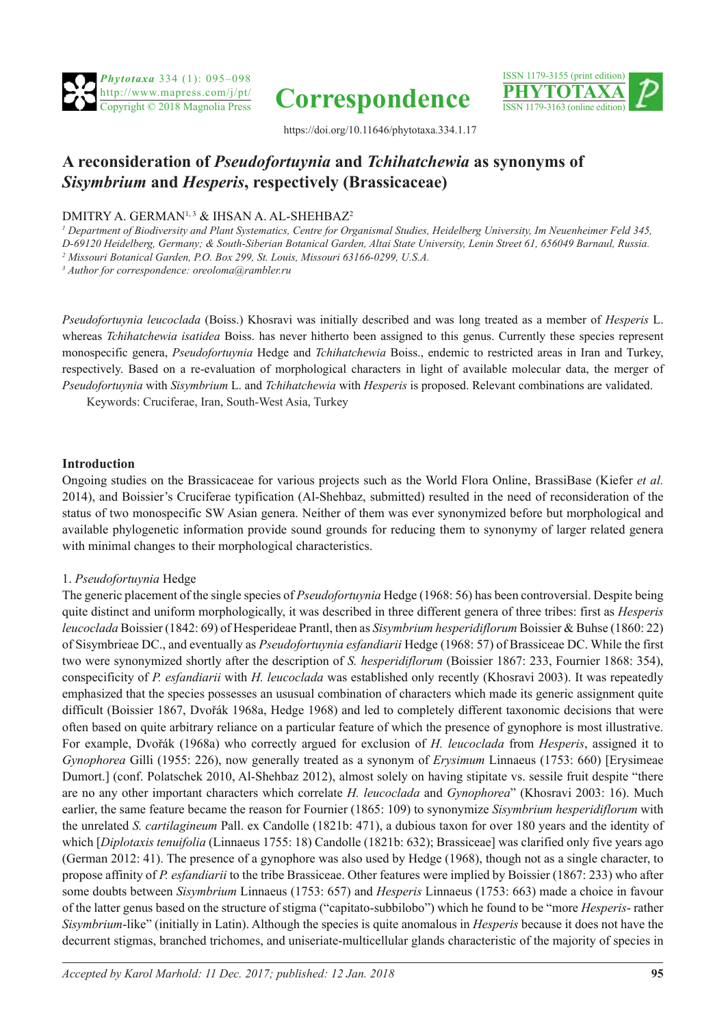





https://doi.org/10.11646/phytotaxa.334.1.17

# **A reconsideration of** *Pseudofortuynia* **and** *Tchihatchewia* **as synonyms of**  *Sisymbrium* **and** *Hesperis***, respectively (Brassicaceae)**

# DMITRY A. GERMAN<sup>1, 3</sup> & IHSAN A. AL-SHEHBAZ<sup>2</sup>

*1 Department of Biodiversity and Plant Systematics, Centre for Organismal Studies, Heidelberg University, Im Neuenheimer Feld 345, D-69120 Heidelberg, Germany; & South-Siberian Botanical Garden, Altai State University, Lenin Street 61, 656049 Barnaul, Russia. 2 Missouri Botanical Garden, P.O. Box 299, St. Louis, Missouri 63166-0299, U.S.A.*

*3 Author for correspondence: oreoloma@rambler.ru*

*Pseudofortuynia leucoclada* (Boiss.) Khosravi was initially described and was long treated as a member of *Hesperis* L. whereas *Tchihatchewia isatidea* Boiss. has never hitherto been assigned to this genus. Currently these species represent monospecific genera, *Pseudofortuynia* Hedge and *Tchihatchewia* Boiss., endemic to restricted areas in Iran and Turkey, respectively. Based on a re-evaluation of morphological characters in light of available molecular data, the merger of *Pseudofortuynia* with *Sisymbrium* L. and *Tchihatchewia* with *Hesperis* is proposed. Relevant combinations are validated.

Keywords: Cruciferae, Iran, South-West Asia, Turkey

## **Introduction**

Ongoing studies on the Brassicaceae for various projects such as the World Flora Online, BrassiBase (Kiefer *et al.* 2014), and Boissier's Cruciferae typification (Al-Shehbaz, submitted) resulted in the need of reconsideration of the status of two monospecific SW Asian genera. Neither of them was ever synonymized before but morphological and available phylogenetic information provide sound grounds for reducing them to synonymy of larger related genera with minimal changes to their morphological characteristics.

## 1. *Pseudofortuynia* Hedge

The generic placement of the single species of *Pseudofortuynia* Hedge (1968: 56) has been controversial. Despite being quite distinct and uniform morphologically, it was described in three different genera of three tribes: first as *Hesperis leucoclada* Boissier (1842: 69) of Hesperideae Prantl, then as *Sisymbrium hesperidiflorum* Boissier & Buhse (1860: 22) of Sisymbrieae DC., and eventually as *Pseudofortuynia esfandiarii* Hedge (1968: 57) of Brassiceae DC. While the first two were synonymized shortly after the description of *S. hesperidiflorum* (Boissier 1867: 233, Fournier 1868: 354), conspecificity of *P. esfandiarii* with *H. leucoclada* was established only recently (Khosravi 2003). It was repeatedly emphasized that the species possesses an ususual combination of characters which made its generic assignment quite difficult (Boissier 1867, Dvořák 1968a, Hedge 1968) and led to completely different taxonomic decisions that were often based on quite arbitrary reliance on a particular feature of which the presence of gynophore is most illustrative. For example, Dvořák (1968a) who correctly argued for exclusion of *H. leucoclada* from *Hesperis*, assigned it to *Gynophorea* Gilli (1955: 226), now generally treated as a synonym of *Erysimum* Linnaeus (1753: 660) [Erysimeae Dumort.] (conf. Polatschek 2010, Al-Shehbaz 2012), almost solely on having stipitate vs. sessile fruit despite "there are no any other important characters which correlate *H. leucoclada* and *Gynophorea*" (Khosravi 2003: 16). Much earlier, the same feature became the reason for Fournier (1865: 109) to synonymize *Sisymbrium hesperidiflorum* with the unrelated *S. cartilagineum* Pall. ex Candolle (1821b: 471), a dubious taxon for over 180 years and the identity of which [*Diplotaxis tenuifolia* (Linnaeus 1755: 18) Candolle (1821b: 632); Brassiceae] was clarified only five years ago (German 2012: 41). The presence of a gynophore was also used by Hedge (1968), though not as a single character, to propose affinity of *P. esfandiarii* to the tribe Brassiceae. Other features were implied by Boissier (1867: 233) who after some doubts between *Sisymbrium* Linnaeus (1753: 657) and *Hesperis* Linnaeus (1753: 663) made a choice in favour of the latter genus based on the structure of stigma ("capitato-subbilobo") which he found to be "more *Hesperis*- rather *Sisymbrium*-like" (initially in Latin). Although the species is quite anomalous in *Hesperis* because it does not have the decurrent stigmas, branched trichomes, and uniseriate-multicellular glands characteristic of the majority of species in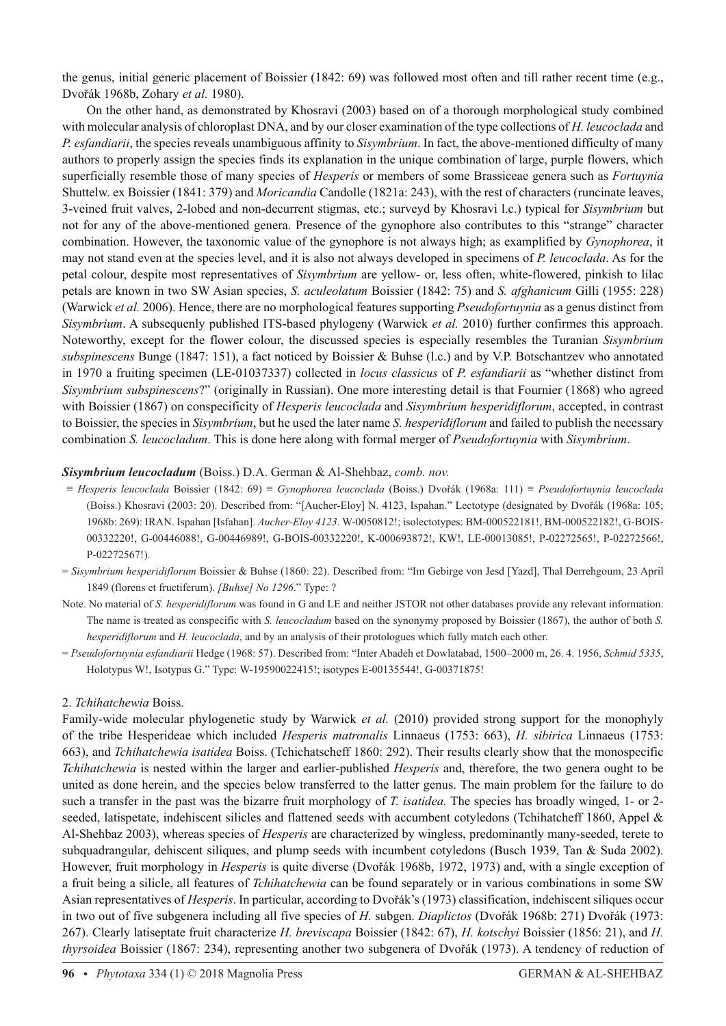the genus, initial generic placement of Boissier (1842: 69) was followed most often and till rather recent time (e.g., Dvořák 1968b, Zohary *et al.* 1980).

On the other hand, as demonstrated by Khosravi (2003) based on of a thorough morphological study combined with molecular analysis of chloroplast DNA, and by our closer examination of the type collections of *H. leucoclada* and *P. esfandiarii*, the species reveals unambiguous affinity to *Sisymbrium*. In fact, the above-mentioned difficulty of many authors to properly assign the species finds its explanation in the unique combination of large, purple flowers, which superficially resemble those of many species of *Hesperis* or members of some Brassiceae genera such as *Fortuynia* Shuttelw. ex Boissier (1841: 379) and *Moricandia* Candolle (1821a: 243), with the rest of characters (runcinate leaves, 3-veined fruit valves, 2-lobed and non-decurrent stigmas, etc.; surveyd by Khosravi l.c.) typical for *Sisymbrium* but not for any of the above-mentioned genera. Presence of the gynophore also contributes to this "strange" character combination. However, the taxonomic value of the gynophore is not always high; as examplified by *Gynophorea*, it may not stand even at the species level, and it is also not always developed in specimens of *P. leucoclada*. As for the petal colour, despite most representatives of *Sisymbrium* are yellow- or, less often, white-flowered, pinkish to lilac petals are known in two SW Asian species, *S. aculeolatum* Boissier (1842: 75) and *S. afghanicum* Gilli (1955: 228) (Warwick *et al.* 2006). Hence, there are no morphological features supporting *Pseudofortuynia* as a genus distinct from *Sisymbrium*. A subsequenly published ITS-based phylogeny (Warwick *et al.* 2010) further confirmes this approach. Noteworthy, except for the flower colour, the discussed species is especially resembles the Turanian *Sisymbrium subspinescens* Bunge (1847: 151), a fact noticed by Boissier & Buhse (l.c.) and by V.P. Botschantzev who annotated in 1970 a fruiting specimen (LE-01037337) collected in *locus classicus* of *P. esfandiarii* as "whether distinct from *Sisymbrium subspinescens*?" (originally in Russian). One more interesting detail is that Fournier (1868) who agreed with Boissier (1867) on conspecificity of *Hesperis leucoclada* and *Sisymbrium hesperidiflorum*, accepted, in contrast to Boissier, the species in *Sisymbrium*, but he used the later name *S. hesperidiflorum* and failed to publish the necessary combination *S. leucocladum*. This is done here along with formal merger of *Pseudofortuynia* with *Sisymbrium*.

# *Sisymbrium leucocladum* (Boiss.) D.A. German & Al-Shehbaz, *comb. nov.*

- ≡ *Hesperis leucoclada* Boissier (1842: 69) ≡ *Gynophorea leucoclada* (Boiss.) Dvořák (1968a: 111) ≡ *Pseudofortuynia leucoclada* (Boiss.) Khosravi (2003: 20). Described from: "[Aucher-Eloy] N. 4123, Ispahan." Lectotype (designated by Dvořák (1968a: 105; 1968b: 269): IRAN. Ispahan [Isfahan]. *Aucher-Eloy 4123*. W-0050812!; isolectotypes: BM-000522181!, BM-000522182!, G-BOIS-00332220!, G-00446088!, G-00446989!, G-BOIS-00332220!, K-000693872!, KW!, LE-00013085!, P-02272565!, P-02272566!, P-02272567!).
- = *Sisymbrium hesperidiflorum* Boissier & Buhse (1860: 22). Described from: "Im Gebirge von Jesd [Yazd], Thal Derrehgoum, 23 April 1849 (florens et fructiferum). *[Buhse] No 1296*." Type: ?
- Note. No material of *S. hesperidiflorum* was found in G and LE and neither JSTOR not other databases provide any relevant information. The name is treated as conspecific with *S. leucocladum* based on the synonymy proposed by Boissier (1867), the author of both *S. hesperidiflorum* and *H. leucoclada*, and by an analysis of their protologues which fully match each other.
- = *Pseudofortuynia esfandiarii* Hedge (1968: 57). Described from: "Inter Abadeh et Dowlatabad, 1500–2000 m, 26. 4. 1956, *Schmid 5335*, Holotypus W!, Isotypus G." Type: W-19590022415!; isotypes E-00135544!, G-00371875!

## 2. *Tchihatchewia* Boiss.

Family-wide molecular phylogenetic study by Warwick *et al.* (2010) provided strong support for the monophyly of the tribe Hesperideae which included *Hesperis matronalis* Linnaeus (1753: 663), *H. sibirica* Linnaeus (1753: 663), and *Tchihatchewia isatidea* Boiss. (Tchichatscheff 1860: 292). Their results clearly show that the monospecific *Tchihatchewia* is nested within the larger and earlier-published *Hesperis* and, therefore, the two genera ought to be united as done herein, and the species below transferred to the latter genus. The main problem for the failure to do such a transfer in the past was the bizarre fruit morphology of *T. isatidea.* The species has broadly winged, 1- or 2 seeded, latispetate, indehiscent silicles and flattened seeds with accumbent cotyledons (Tchihatcheff 1860, Appel & Al-Shehbaz 2003), whereas species of *Hesperis* are characterized by wingless, predominantly many-seeded, terete to subquadrangular, dehiscent siliques, and plump seeds with incumbent cotyledons (Busch 1939, Tan & Suda 2002). However, fruit morphology in *Hesperis* is quite diverse (Dvořák 1968b, 1972, 1973) and, with a single exception of a fruit being a silicle, all features of *Tchihatchewia* can be found separately or in various combinations in some SW Asian representatives of *Hesperis*. In particular, according to Dvořák's (1973) classification, indehiscent siliques occur in two out of five subgenera including all five species of *H.* subgen. *Diaplictos* (Dvořák 1968b: 271) Dvořák (1973: 267). Clearly latiseptate fruit characterize *H. breviscapa* Boissier (1842: 67), *H. kotschyi* Boissier (1856: 21), and *H. thyrsoidea* Boissier (1867: 234), representing another two subgenera of Dvořák (1973). A tendency of reduction of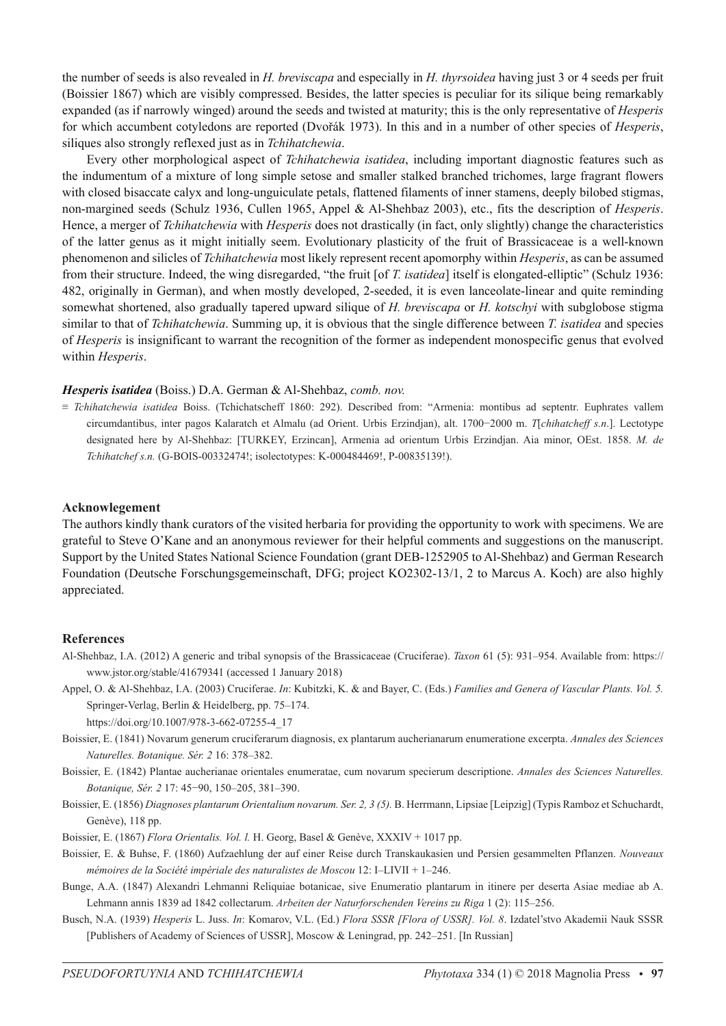the number of seeds is also revealed in *H. breviscapa* and especially in *H. thyrsoidea* having just 3 or 4 seeds per fruit (Boissier 1867) which are visibly compressed. Besides, the latter species is peculiar for its silique being remarkably expanded (as if narrowly winged) around the seeds and twisted at maturity; this is the only representative of *Hesperis* for which accumbent cotyledons are reported (Dvořák 1973). In this and in a number of other species of *Hesperis*, siliques also strongly reflexed just as in *Tchihatchewia*.

Every other morphological aspect of *Tchihatchewia isatidea*, including important diagnostic features such as the indumentum of a mixture of long simple setose and smaller stalked branched trichomes, large fragrant flowers with closed bisaccate calyx and long-unguiculate petals, flattened filaments of inner stamens, deeply bilobed stigmas, non-margined seeds (Schulz 1936, Cullen 1965, Appel & Al-Shehbaz 2003), etc., fits the description of *Hesperis*. Hence, a merger of *Tchihatchewia* with *Hesperis* does not drastically (in fact, only slightly) change the characteristics of the latter genus as it might initially seem. Evolutionary plasticity of the fruit of Brassicaceae is a well-known phenomenon and silicles of *Tchihatchewia* most likely represent recent apomorphy within *Hesperis*, as can be assumed from their structure. Indeed, the wing disregarded, "the fruit [of *T. isatidea*] itself is elongated-elliptic" (Schulz 1936: 482, originally in German), and when mostly developed, 2-seeded, it is even lanceolate-linear and quite reminding somewhat shortened, also gradually tapered upward silique of *H. breviscapa* or *H. kotschyi* with subglobose stigma similar to that of *Tchihatchewia*. Summing up, it is obvious that the single difference between *T. isatidea* and species of *Hesperis* is insignificant to warrant the recognition of the former as independent monospecific genus that evolved within *Hesperis*.

#### *Hesperis isatidea* (Boiss.) D.A. German & Al-Shehbaz, *comb. nov.*

≡ *Tchihatchewia isatidea* Boiss. (Tchichatscheff 1860: 292). Described from: "Armenia: montibus ad septentr. Euphrates vallem circumdantibus, inter pagos Kalaratch et Almalu (ad Orient. Urbis Erzindjan), alt. 1700−2000 m. *T*[*chihatcheff s.n*.]. Lectotype designated here by Al-Shehbaz: [TURKEY, Erzincan], Armenia ad orientum Urbis Erzindjan. Aia minor, OEst. 1858. *M. de Tchihatchef s.n.* (G-BOIS-00332474!; isolectotypes: K-000484469!, P-00835139!).

### **Acknowlegement**

The authors kindly thank curators of the visited herbaria for providing the opportunity to work with specimens. We are grateful to Steve O'Kane and an anonymous reviewer for their helpful comments and suggestions on the manuscript. Support by the United States National Science Foundation (grant DEB-1252905 to Al-Shehbaz) and German Research Foundation (Deutsche Forschungsgemeinschaft, DFG; project KO2302-13/1, 2 to Marcus A. Koch) are also highly appreciated.

#### **References**

- Al-Shehbaz, I.A. (2012) A generic and tribal synopsis of the Brassicaceae (Cruciferae). *Taxon* 61 (5): 931–954. Available from: https:// www.jstor.org/stable/41679341 (accessed 1 January 2018)
- Appel, O. & Al-Shehbaz, I.A. (2003) Cruciferae. *In*: Kubitzki, K. & and Bayer, C. (Eds.) *Families and Genera of Vascular Plants. Vol. 5.*  Springer-Verlag, Berlin & Heidelberg, pp. 75–174.

https://doi.org/10.1007/978-3-662-07255-4\_17

- Boissier, E. (1841) Novarum generum cruciferarum diagnosis, ex plantarum aucherianarum enumeratione excerpta. *Annales des Sciences Naturelles. Botanique. Sér. 2* 16: 378–382.
- Boissier, E. (1842) Plantae aucherianae orientales enumeratae, cum novarum specierum descriptione. *Annales des Sciences Naturelles. Botanique, Sér. 2* 17: 45−90, 150–205, 381–390.
- Boissier, E. (1856) *Diagnoses plantarum Orientalium novarum. Ser. 2, 3 (5).* B. Herrmann, Lipsiae [Leipzig] (Typis Ramboz et Schuchardt, Genève), 118 pp.
- Boissier, E. (1867) *Flora Orientalis. Vol. l.* H. Georg, Basel & Genève, XXXIV + 1017 pp.
- Boissier, E. & Buhse, F. (1860) Aufzaehlung der auf einer Reise durch Transkaukasien und Persien gesammelten Pflanzen. *Nouveaux mémoires de la Société impériale des naturalistes de Moscou* 12: I–LIVII + 1–246.
- Bunge, A.A. (1847) Alexandri Lehmanni Reliquiae botanicae, sive Enumeratio plantarum in itinere per deserta Asiae mediae ab A. Lehmann annis 1839 ad 1842 collectarum. *Arbeiten der Naturforschenden Vereins zu Riga* 1 (2): 115–256.
- Busch, N.A. (1939) *Hesperis* L. Juss. *In*: Komarov, V.L. (Ed.) *Flora SSSR [Flora of USSR]. Vol. 8*. Izdatel'stvo Akademii Nauk SSSR [Publishers of Academy of Sciences of USSR], Moscow & Leningrad, pp. 242–251. [In Russian]